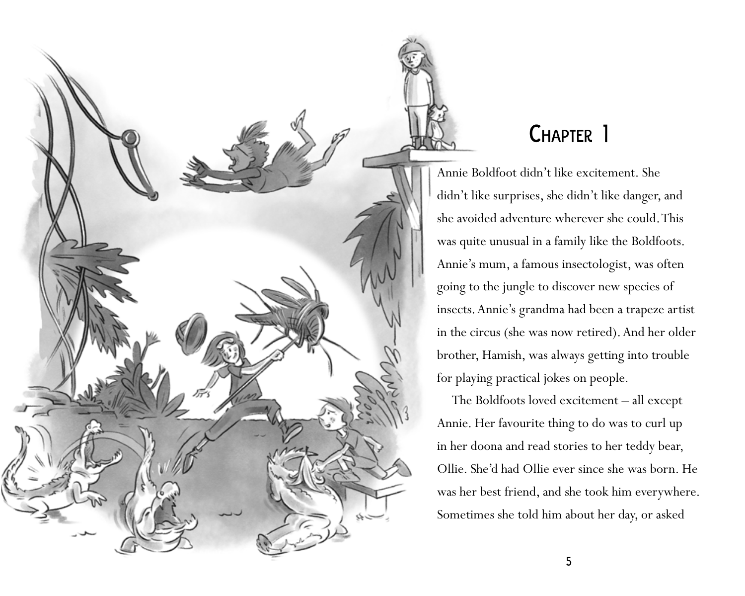

## Chapter 1

Annie Boldfoot didn't like excitement. She didn't like surprises, she didn't like danger, and she avoided adventure wherever she could. This was quite unusual in a family like the Boldfoots. Annie's mum, a famous insectologist, was often going to the jungle to discover new species of insects. Annie's grandma had been a trapeze artist in the circus (she was now retired). And her older brother, Hamish, was always getting into trouble for playing practical jokes on people.

The Boldfoots loved excitement – all except Annie. Her favourite thing to do was to curl up in her doona and read stories to her teddy bear, Ollie. She'd had Ollie ever since she was born. He was her best friend, and she took him everywhere. Sometimes she told him about her day, or asked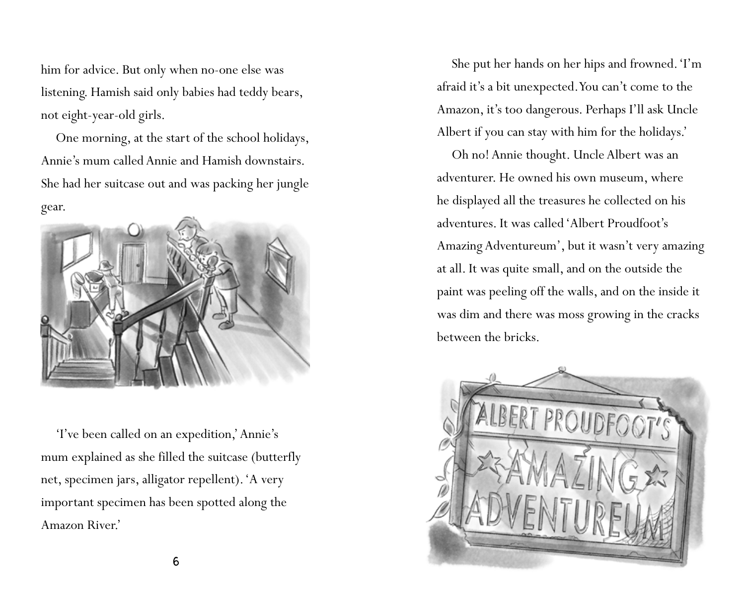him for advice. But only when no-one else was listening. Hamish said only babies had teddy bears, not eight-year-old girls.

One morning, at the start of the school holidays, Annie's mum called Annie and Hamish downstairs. She had her suitcase out and was packing her jungle gear.



'I've been called on an expedition,' Annie's mum explained as she filled the suitcase (butterfly net, specimen jars, alligator repellent). 'A very important specimen has been spotted along the Amazon River.'

She put her hands on her hips and frowned. 'I'm afraid it's a bit unexpected. You can't come to the Amazon, it's too dangerous. Perhaps I'll ask Uncle Albert if you can stay with him for the holidays.'

Oh no! Annie thought. Uncle Albert was an adventurer. He owned his own museum, where he displayed all the treasures he collected on his adventures. It was called 'Albert Proudfoot's Amazing Adventureum', but it wasn't very amazing at all. It was quite small, and on the outside the paint was peeling off the walls, and on the inside it was dim and there was moss growing in the cracks between the bricks.